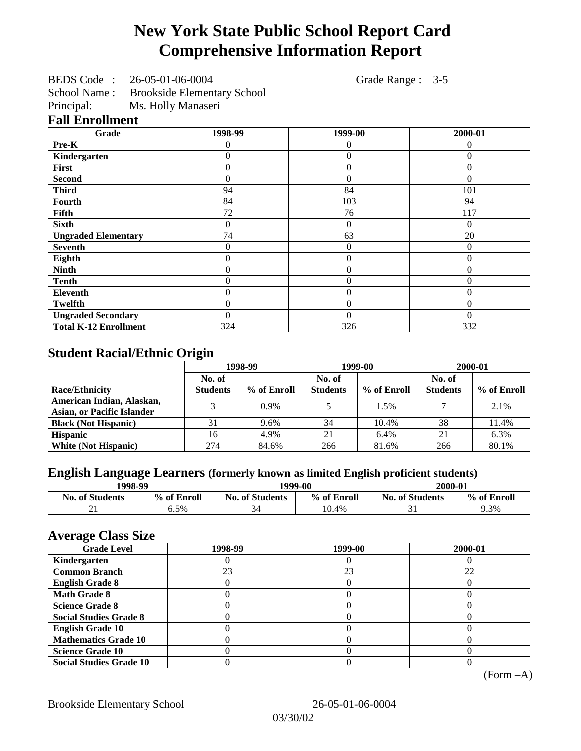# **New York State Public School Report Card Comprehensive Information Report**

BEDS Code : 26-05-01-06-0004 Grade Range : 3-5

School Name : Brookside Elementary School<br>Principal: Ms. Holly Manaseri Ms. Holly Manaseri

#### **Fall Enrollment**

| Grade                        | 1998-99          | 1999-00        | 2000-01  |
|------------------------------|------------------|----------------|----------|
| Pre-K                        | 0                | $\theta$       | $\Omega$ |
| Kindergarten                 | 0                | $\overline{0}$ | $\Omega$ |
| First                        | $\Omega$         | $\overline{0}$ | $\Omega$ |
| <b>Second</b>                | $\Omega$         | $\overline{0}$ | $\Omega$ |
| <b>Third</b>                 | 94               | 84             | 101      |
| Fourth                       | 84               | 103            | 94       |
| Fifth                        | 72               | 76             | 117      |
| <b>Sixth</b>                 | $\mathbf{0}$     | $\overline{0}$ | $\Omega$ |
| <b>Ungraded Elementary</b>   | 74               | 63             | 20       |
| <b>Seventh</b>               | $\Omega$         | $\theta$       | $\Omega$ |
| Eighth                       | $\boldsymbol{0}$ | $\overline{0}$ | $\Omega$ |
| <b>Ninth</b>                 | $\boldsymbol{0}$ | $\overline{0}$ | $\Omega$ |
| <b>Tenth</b>                 | $\boldsymbol{0}$ | $\overline{0}$ | $\Omega$ |
| Eleventh                     | $\theta$         | $\overline{0}$ | $\Omega$ |
| <b>Twelfth</b>               | $\overline{0}$   | $\overline{0}$ | $\Omega$ |
| <b>Ungraded Secondary</b>    | $\Omega$         | $\Omega$       | $\Omega$ |
| <b>Total K-12 Enrollment</b> | 324              | 326            | 332      |

# **Student Racial/Ethnic Origin**

|                                   | 1998-99         |             | 1999-00         |             | 2000-01         |             |
|-----------------------------------|-----------------|-------------|-----------------|-------------|-----------------|-------------|
|                                   | No. of          |             | No. of          |             | No. of          |             |
| <b>Race/Ethnicity</b>             | <b>Students</b> | % of Enroll | <b>Students</b> | % of Enroll | <b>Students</b> | % of Enroll |
| American Indian, Alaskan,         |                 | $0.9\%$     |                 | 1.5%        |                 | 2.1%        |
| <b>Asian, or Pacific Islander</b> |                 |             |                 |             |                 |             |
| <b>Black (Not Hispanic)</b>       | 31              | 9.6%        | 34              | 10.4%       | 38              | 11.4%       |
| <b>Hispanic</b>                   | 16              | 4.9%        | 21              | 6.4%        | 21              | 6.3%        |
| <b>White (Not Hispanic)</b>       | 274             | 84.6%       | 266             | 81.6%       | 266             | 80.1%       |

# **English Language Learners (formerly known as limited English proficient students)**

| 1998-99                |             | 1999-00                |             | 2000-01                |             |
|------------------------|-------------|------------------------|-------------|------------------------|-------------|
| <b>No. of Students</b> | % of Enroll | <b>No. of Students</b> | % of Enroll | <b>No. of Students</b> | % of Enroll |
| <u> 41</u>             | 6.5%        |                        | 10.4%       |                        | 9.3%        |

#### **Average Class Size**

| ---- <del>-</del> --<br><b>Grade Level</b> | 1998-99 | 1999-00 | 2000-01 |
|--------------------------------------------|---------|---------|---------|
| Kindergarten                               |         |         |         |
| <b>Common Branch</b>                       | 23      | 23      | 22      |
| <b>English Grade 8</b>                     |         |         |         |
| <b>Math Grade 8</b>                        |         |         |         |
| <b>Science Grade 8</b>                     |         |         |         |
| <b>Social Studies Grade 8</b>              |         |         |         |
| <b>English Grade 10</b>                    |         |         |         |
| <b>Mathematics Grade 10</b>                |         |         |         |
| <b>Science Grade 10</b>                    |         |         |         |
| <b>Social Studies Grade 10</b>             |         |         |         |

(Form –A)